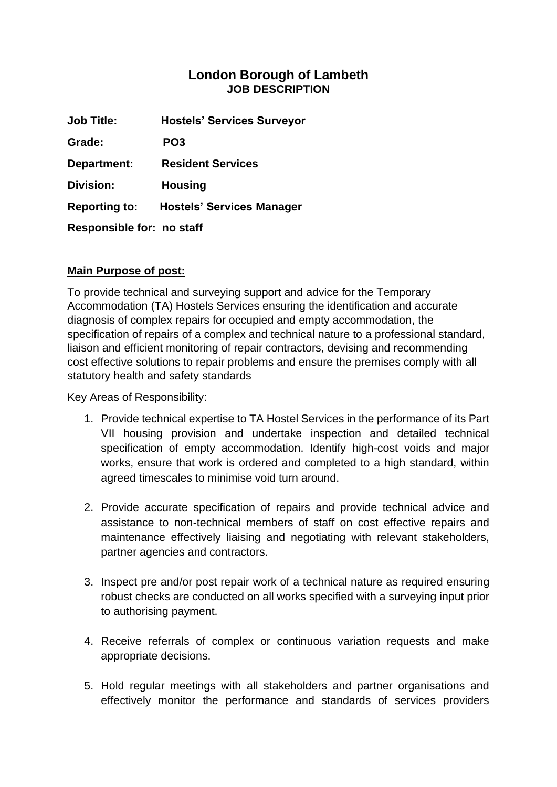## **London Borough of Lambeth JOB DESCRIPTION**

| <b>Job Title:</b>                | <b>Hostels' Services Surveyor</b> |
|----------------------------------|-----------------------------------|
| Grade:                           | PO <sub>3</sub>                   |
| Department:                      | <b>Resident Services</b>          |
| Division:                        | <b>Housing</b>                    |
| <b>Reporting to:</b>             | <b>Hostels' Services Manager</b>  |
| <b>Responsible for: no staff</b> |                                   |

## **Main Purpose of post:**

To provide technical and surveying support and advice for the Temporary Accommodation (TA) Hostels Services ensuring the identification and accurate diagnosis of complex repairs for occupied and empty accommodation, the specification of repairs of a complex and technical nature to a professional standard, liaison and efficient monitoring of repair contractors, devising and recommending cost effective solutions to repair problems and ensure the premises comply with all statutory health and safety standards

Key Areas of Responsibility:

- 1. Provide technical expertise to TA Hostel Services in the performance of its Part VII housing provision and undertake inspection and detailed technical specification of empty accommodation. Identify high-cost voids and major works, ensure that work is ordered and completed to a high standard, within agreed timescales to minimise void turn around.
- 2. Provide accurate specification of repairs and provide technical advice and assistance to non-technical members of staff on cost effective repairs and maintenance effectively liaising and negotiating with relevant stakeholders, partner agencies and contractors.
- 3. Inspect pre and/or post repair work of a technical nature as required ensuring robust checks are conducted on all works specified with a surveying input prior to authorising payment.
- 4. Receive referrals of complex or continuous variation requests and make appropriate decisions.
- 5. Hold regular meetings with all stakeholders and partner organisations and effectively monitor the performance and standards of services providers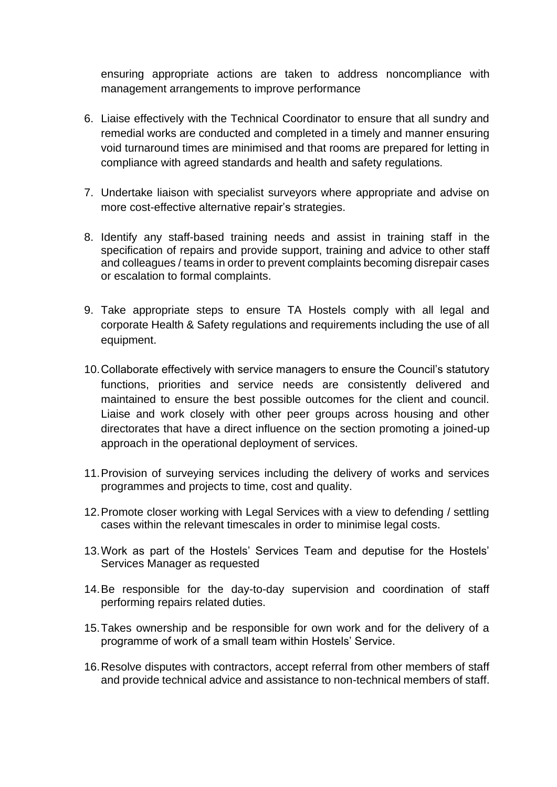ensuring appropriate actions are taken to address noncompliance with management arrangements to improve performance

- 6. Liaise effectively with the Technical Coordinator to ensure that all sundry and remedial works are conducted and completed in a timely and manner ensuring void turnaround times are minimised and that rooms are prepared for letting in compliance with agreed standards and health and safety regulations.
- 7. Undertake liaison with specialist surveyors where appropriate and advise on more cost-effective alternative repair's strategies.
- 8. Identify any staff-based training needs and assist in training staff in the specification of repairs and provide support, training and advice to other staff and colleagues / teams in order to prevent complaints becoming disrepair cases or escalation to formal complaints.
- 9. Take appropriate steps to ensure TA Hostels comply with all legal and corporate Health & Safety regulations and requirements including the use of all equipment.
- 10.Collaborate effectively with service managers to ensure the Council's statutory functions, priorities and service needs are consistently delivered and maintained to ensure the best possible outcomes for the client and council. Liaise and work closely with other peer groups across housing and other directorates that have a direct influence on the section promoting a joined-up approach in the operational deployment of services.
- 11.Provision of surveying services including the delivery of works and services programmes and projects to time, cost and quality.
- 12.Promote closer working with Legal Services with a view to defending / settling cases within the relevant timescales in order to minimise legal costs.
- 13.Work as part of the Hostels' Services Team and deputise for the Hostels' Services Manager as requested
- 14.Be responsible for the day-to-day supervision and coordination of staff performing repairs related duties.
- 15.Takes ownership and be responsible for own work and for the delivery of a programme of work of a small team within Hostels' Service.
- 16.Resolve disputes with contractors, accept referral from other members of staff and provide technical advice and assistance to non-technical members of staff.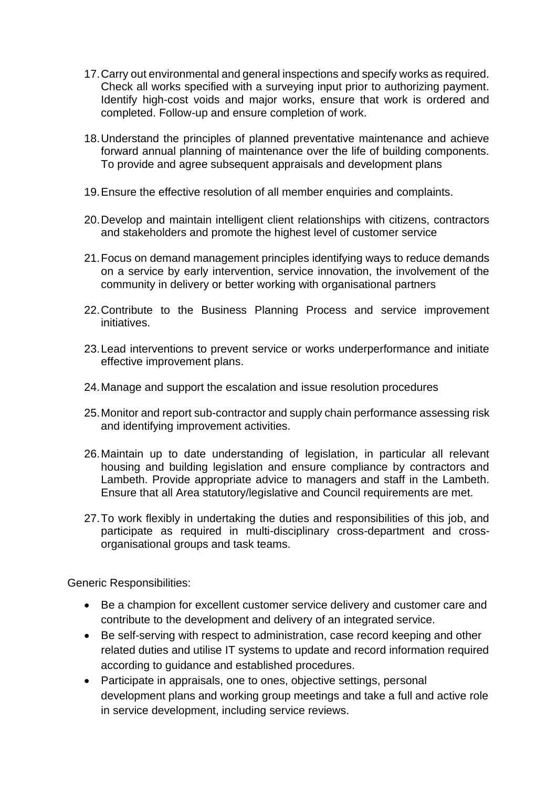- 17.Carry out environmental and general inspections and specify works as required. Check all works specified with a surveying input prior to authorizing payment. Identify high-cost voids and major works, ensure that work is ordered and completed. Follow-up and ensure completion of work.
- 18.Understand the principles of planned preventative maintenance and achieve forward annual planning of maintenance over the life of building components. To provide and agree subsequent appraisals and development plans
- 19.Ensure the effective resolution of all member enquiries and complaints.
- 20.Develop and maintain intelligent client relationships with citizens, contractors and stakeholders and promote the highest level of customer service
- 21.Focus on demand management principles identifying ways to reduce demands on a service by early intervention, service innovation, the involvement of the community in delivery or better working with organisational partners
- 22.Contribute to the Business Planning Process and service improvement initiatives.
- 23.Lead interventions to prevent service or works underperformance and initiate effective improvement plans.
- 24.Manage and support the escalation and issue resolution procedures
- 25.Monitor and report sub-contractor and supply chain performance assessing risk and identifying improvement activities.
- 26.Maintain up to date understanding of legislation, in particular all relevant housing and building legislation and ensure compliance by contractors and Lambeth. Provide appropriate advice to managers and staff in the Lambeth. Ensure that all Area statutory/legislative and Council requirements are met.
- 27.To work flexibly in undertaking the duties and responsibilities of this job, and participate as required in multi-disciplinary cross-department and crossorganisational groups and task teams.

Generic Responsibilities:

- Be a champion for excellent customer service delivery and customer care and contribute to the development and delivery of an integrated service.
- Be self-serving with respect to administration, case record keeping and other related duties and utilise IT systems to update and record information required according to guidance and established procedures.
- Participate in appraisals, one to ones, objective settings, personal development plans and working group meetings and take a full and active role in service development, including service reviews.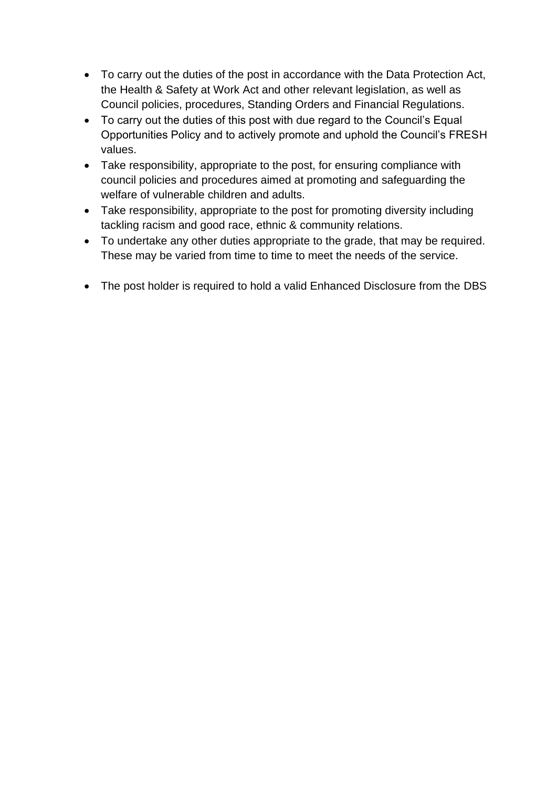- To carry out the duties of the post in accordance with the Data Protection Act, the Health & Safety at Work Act and other relevant legislation, as well as Council policies, procedures, Standing Orders and Financial Regulations.
- To carry out the duties of this post with due regard to the Council's Equal Opportunities Policy and to actively promote and uphold the Council's FRESH values.
- Take responsibility, appropriate to the post, for ensuring compliance with council policies and procedures aimed at promoting and safeguarding the welfare of vulnerable children and adults.
- Take responsibility, appropriate to the post for promoting diversity including tackling racism and good race, ethnic & community relations.
- To undertake any other duties appropriate to the grade, that may be required. These may be varied from time to time to meet the needs of the service.
- The post holder is required to hold a valid Enhanced Disclosure from the DBS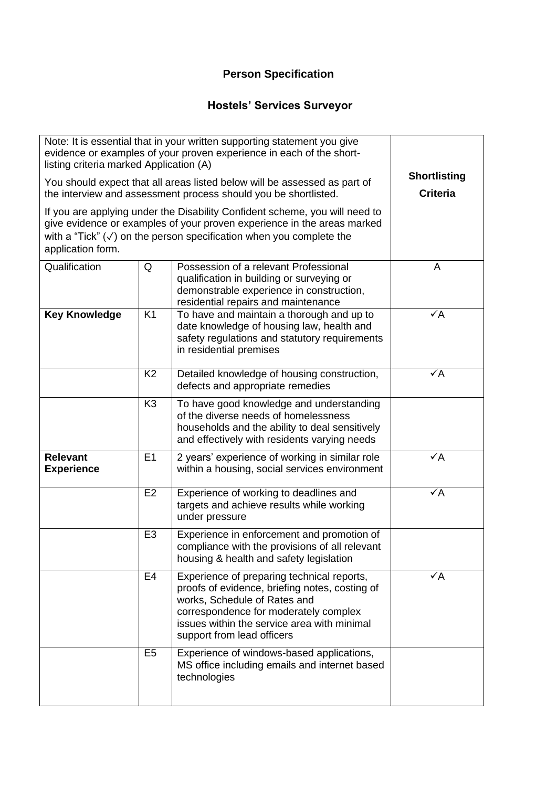## **Person Specification**

## **Hostels' Services Surveyor**

| Note: It is essential that in your written supporting statement you give<br>evidence or examples of your proven experience in each of the short-<br>listing criteria marked Application (A)                                                                   |                |                                                                                                                                                                                                                                                    |                                        |
|---------------------------------------------------------------------------------------------------------------------------------------------------------------------------------------------------------------------------------------------------------------|----------------|----------------------------------------------------------------------------------------------------------------------------------------------------------------------------------------------------------------------------------------------------|----------------------------------------|
| You should expect that all areas listed below will be assessed as part of<br>the interview and assessment process should you be shortlisted.                                                                                                                  |                |                                                                                                                                                                                                                                                    | <b>Shortlisting</b><br><b>Criteria</b> |
| If you are applying under the Disability Confident scheme, you will need to<br>give evidence or examples of your proven experience in the areas marked<br>with a "Tick" $(\checkmark)$ on the person specification when you complete the<br>application form. |                |                                                                                                                                                                                                                                                    |                                        |
| Qualification                                                                                                                                                                                                                                                 | Q              | Possession of a relevant Professional<br>qualification in building or surveying or<br>demonstrable experience in construction,<br>residential repairs and maintenance                                                                              | A                                      |
| <b>Key Knowledge</b>                                                                                                                                                                                                                                          | K <sub>1</sub> | To have and maintain a thorough and up to<br>date knowledge of housing law, health and<br>safety regulations and statutory requirements<br>in residential premises                                                                                 | $\checkmark$ A                         |
|                                                                                                                                                                                                                                                               | K <sub>2</sub> | Detailed knowledge of housing construction,<br>defects and appropriate remedies                                                                                                                                                                    | $\checkmark$ A                         |
|                                                                                                                                                                                                                                                               | K <sub>3</sub> | To have good knowledge and understanding<br>of the diverse needs of homelessness<br>households and the ability to deal sensitively<br>and effectively with residents varying needs                                                                 |                                        |
| <b>Relevant</b><br><b>Experience</b>                                                                                                                                                                                                                          | E1             | 2 years' experience of working in similar role<br>within a housing, social services environment                                                                                                                                                    | $\checkmark$ A                         |
|                                                                                                                                                                                                                                                               | E <sub>2</sub> | Experience of working to deadlines and<br>targets and achieve results while working<br>under pressure                                                                                                                                              | $\checkmark$ A                         |
|                                                                                                                                                                                                                                                               | E <sub>3</sub> | Experience in enforcement and promotion of<br>compliance with the provisions of all relevant<br>housing & health and safety legislation                                                                                                            |                                        |
|                                                                                                                                                                                                                                                               | E <sub>4</sub> | Experience of preparing technical reports,<br>proofs of evidence, briefing notes, costing of<br>works, Schedule of Rates and<br>correspondence for moderately complex<br>issues within the service area with minimal<br>support from lead officers | $\checkmark$ A                         |
|                                                                                                                                                                                                                                                               | E <sub>5</sub> | Experience of windows-based applications,<br>MS office including emails and internet based<br>technologies                                                                                                                                         |                                        |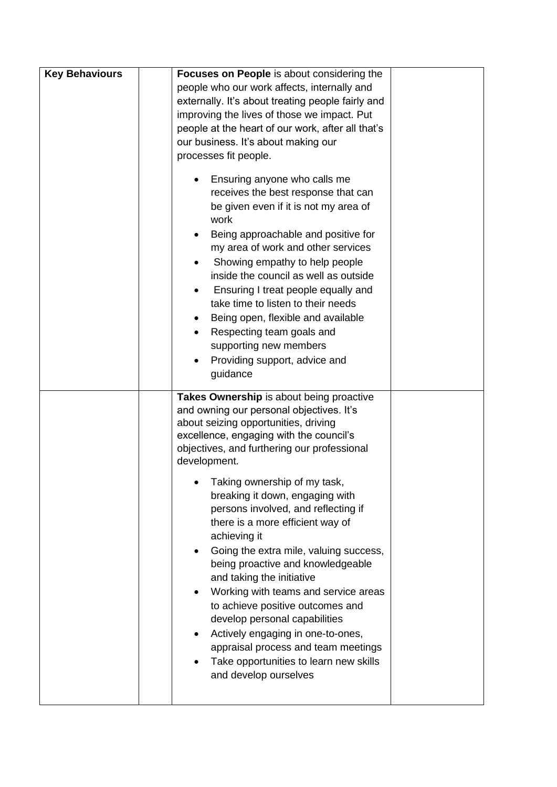| <b>Key Behaviours</b> | Focuses on People is about considering the                                                                                                                                                                                                                                                                                                                                                                                                                                                                                                                                                                                                                                                                                                          |
|-----------------------|-----------------------------------------------------------------------------------------------------------------------------------------------------------------------------------------------------------------------------------------------------------------------------------------------------------------------------------------------------------------------------------------------------------------------------------------------------------------------------------------------------------------------------------------------------------------------------------------------------------------------------------------------------------------------------------------------------------------------------------------------------|
|                       | people who our work affects, internally and                                                                                                                                                                                                                                                                                                                                                                                                                                                                                                                                                                                                                                                                                                         |
|                       | externally. It's about treating people fairly and                                                                                                                                                                                                                                                                                                                                                                                                                                                                                                                                                                                                                                                                                                   |
|                       | improving the lives of those we impact. Put                                                                                                                                                                                                                                                                                                                                                                                                                                                                                                                                                                                                                                                                                                         |
|                       | people at the heart of our work, after all that's                                                                                                                                                                                                                                                                                                                                                                                                                                                                                                                                                                                                                                                                                                   |
|                       | our business. It's about making our                                                                                                                                                                                                                                                                                                                                                                                                                                                                                                                                                                                                                                                                                                                 |
|                       | processes fit people.                                                                                                                                                                                                                                                                                                                                                                                                                                                                                                                                                                                                                                                                                                                               |
|                       | Ensuring anyone who calls me<br>receives the best response that can<br>be given even if it is not my area of<br>work<br>Being approachable and positive for<br>my area of work and other services<br>Showing empathy to help people<br>inside the council as well as outside<br>Ensuring I treat people equally and<br>take time to listen to their needs<br>Being open, flexible and available<br>Respecting team goals and<br>supporting new members<br>Providing support, advice and<br>guidance                                                                                                                                                                                                                                                 |
|                       | Takes Ownership is about being proactive<br>and owning our personal objectives. It's<br>about seizing opportunities, driving<br>excellence, engaging with the council's<br>objectives, and furthering our professional<br>development.<br>Taking ownership of my task,<br>breaking it down, engaging with<br>persons involved, and reflecting if<br>there is a more efficient way of<br>achieving it<br>Going the extra mile, valuing success,<br>being proactive and knowledgeable<br>and taking the initiative<br>Working with teams and service areas<br>to achieve positive outcomes and<br>develop personal capabilities<br>Actively engaging in one-to-ones,<br>appraisal process and team meetings<br>Take opportunities to learn new skills |
|                       | and develop ourselves                                                                                                                                                                                                                                                                                                                                                                                                                                                                                                                                                                                                                                                                                                                               |